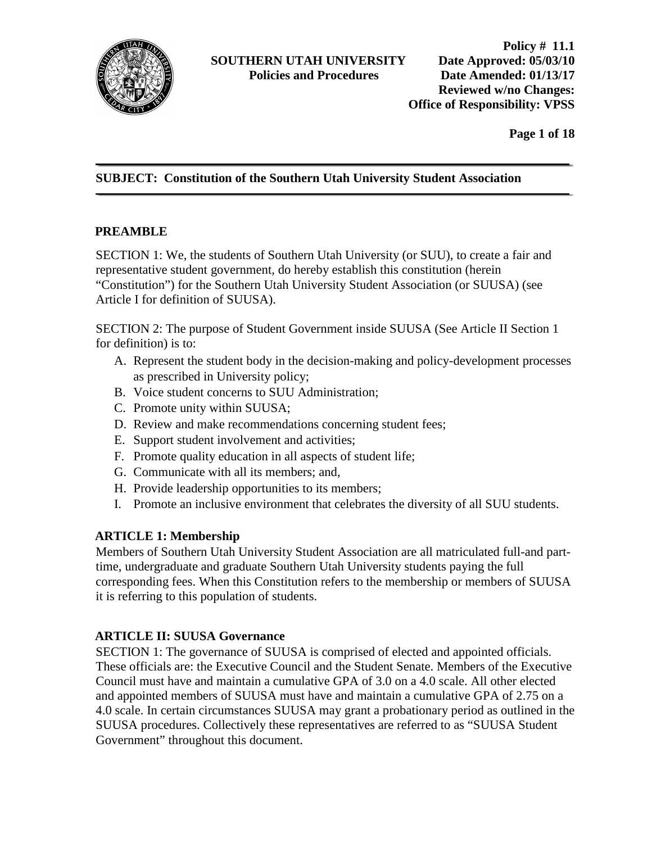

**Page 1 of 18**

# **SUBJECT: Constitution of the Southern Utah University Student Association**

#### **PREAMBLE**

SECTION 1: We, the students of Southern Utah University (or SUU), to create a fair and representative student government, do hereby establish this constitution (herein "Constitution") for the Southern Utah University Student Association (or SUUSA) (see Article I for definition of SUUSA).

SECTION 2: The purpose of Student Government inside SUUSA (See Article II Section 1 for definition) is to:

- A. Represent the student body in the decision-making and policy-development processes as prescribed in University policy;
- B. Voice student concerns to SUU Administration;
- C. Promote unity within SUUSA;
- D. Review and make recommendations concerning student fees;
- E. Support student involvement and activities;
- F. Promote quality education in all aspects of student life;
- G. Communicate with all its members; and,
- H. Provide leadership opportunities to its members;
- I. Promote an inclusive environment that celebrates the diversity of all SUU students.

#### **ARTICLE 1: Membership**

Members of Southern Utah University Student Association are all matriculated full-and parttime, undergraduate and graduate Southern Utah University students paying the full corresponding fees. When this Constitution refers to the membership or members of SUUSA it is referring to this population of students.

#### **ARTICLE II: SUUSA Governance**

SECTION 1: The governance of SUUSA is comprised of elected and appointed officials. These officials are: the Executive Council and the Student Senate. Members of the Executive Council must have and maintain a cumulative GPA of 3.0 on a 4.0 scale. All other elected and appointed members of SUUSA must have and maintain a cumulative GPA of 2.75 on a 4.0 scale. In certain circumstances SUUSA may grant a probationary period as outlined in the SUUSA procedures. Collectively these representatives are referred to as "SUUSA Student Government" throughout this document.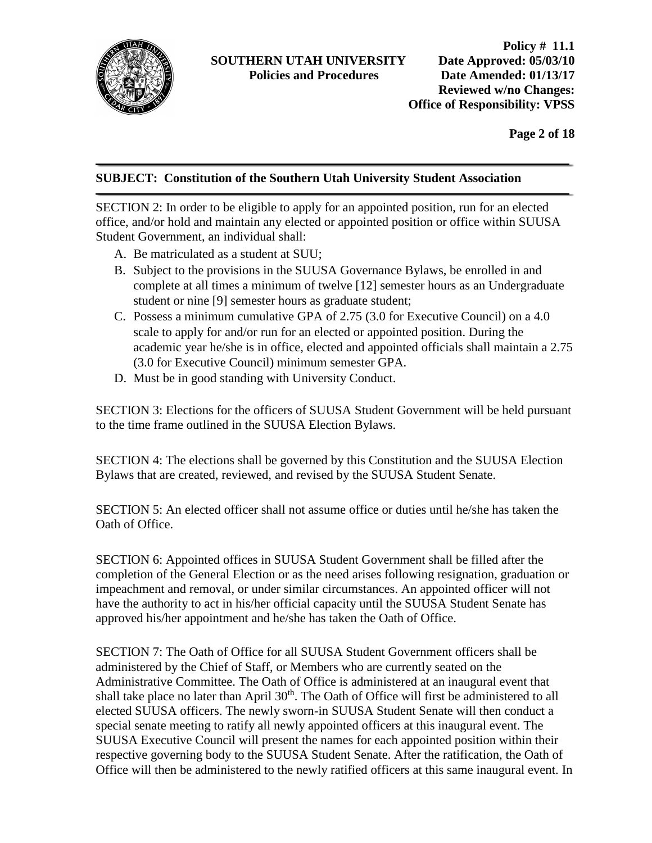

**Page 2 of 18**

#### **SUBJECT: Constitution of the Southern Utah University Student Association**

SECTION 2: In order to be eligible to apply for an appointed position, run for an elected office, and/or hold and maintain any elected or appointed position or office within SUUSA Student Government, an individual shall:

- A. Be matriculated as a student at SUU;
- B. Subject to the provisions in the SUUSA Governance Bylaws, be enrolled in and complete at all times a minimum of twelve [12] semester hours as an Undergraduate student or nine [9] semester hours as graduate student;
- C. Possess a minimum cumulative GPA of 2.75 (3.0 for Executive Council) on a 4.0 scale to apply for and/or run for an elected or appointed position. During the academic year he/she is in office, elected and appointed officials shall maintain a 2.75 (3.0 for Executive Council) minimum semester GPA.
- D. Must be in good standing with University Conduct.

SECTION 3: Elections for the officers of SUUSA Student Government will be held pursuant to the time frame outlined in the SUUSA Election Bylaws.

SECTION 4: The elections shall be governed by this Constitution and the SUUSA Election Bylaws that are created, reviewed, and revised by the SUUSA Student Senate.

SECTION 5: An elected officer shall not assume office or duties until he/she has taken the Oath of Office.

SECTION 6: Appointed offices in SUUSA Student Government shall be filled after the completion of the General Election or as the need arises following resignation, graduation or impeachment and removal, or under similar circumstances. An appointed officer will not have the authority to act in his/her official capacity until the SUUSA Student Senate has approved his/her appointment and he/she has taken the Oath of Office.

SECTION 7: The Oath of Office for all SUUSA Student Government officers shall be administered by the Chief of Staff, or Members who are currently seated on the Administrative Committee. The Oath of Office is administered at an inaugural event that shall take place no later than April 30<sup>th</sup>. The Oath of Office will first be administered to all elected SUUSA officers. The newly sworn-in SUUSA Student Senate will then conduct a special senate meeting to ratify all newly appointed officers at this inaugural event. The SUUSA Executive Council will present the names for each appointed position within their respective governing body to the SUUSA Student Senate. After the ratification, the Oath of Office will then be administered to the newly ratified officers at this same inaugural event. In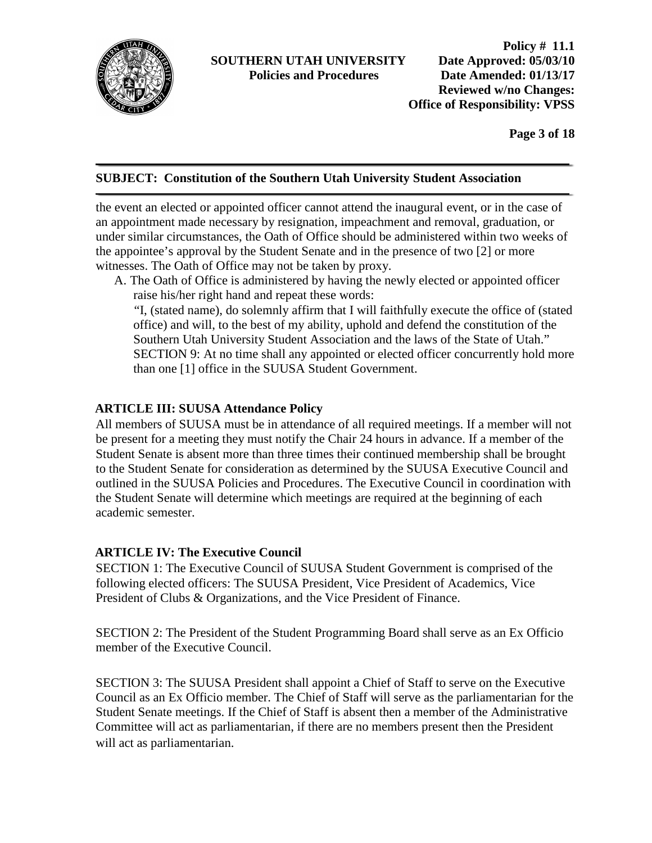

**Policy # 11.1 Policies and Procedures Date Amended: 01/13/17 Reviewed w/no Changes: Office of Responsibility: VPSS** 

**Page 3 of 18**

#### **SUBJECT: Constitution of the Southern Utah University Student Association**

the event an elected or appointed officer cannot attend the inaugural event, or in the case of an appointment made necessary by resignation, impeachment and removal, graduation, or under similar circumstances, the Oath of Office should be administered within two weeks of the appointee's approval by the Student Senate and in the presence of two [2] or more witnesses. The Oath of Office may not be taken by proxy.

A. The Oath of Office is administered by having the newly elected or appointed officer raise his/her right hand and repeat these words:

"I, (stated name), do solemnly affirm that I will faithfully execute the office of (stated office) and will, to the best of my ability, uphold and defend the constitution of the Southern Utah University Student Association and the laws of the State of Utah." SECTION 9: At no time shall any appointed or elected officer concurrently hold more than one [1] office in the SUUSA Student Government.

# **ARTICLE III: SUUSA Attendance Policy**

All members of SUUSA must be in attendance of all required meetings. If a member will not be present for a meeting they must notify the Chair 24 hours in advance. If a member of the Student Senate is absent more than three times their continued membership shall be brought to the Student Senate for consideration as determined by the SUUSA Executive Council and outlined in the SUUSA Policies and Procedures. The Executive Council in coordination with the Student Senate will determine which meetings are required at the beginning of each academic semester.

#### **ARTICLE IV: The Executive Council**

SECTION 1: The Executive Council of SUUSA Student Government is comprised of the following elected officers: The SUUSA President, Vice President of Academics, Vice President of Clubs & Organizations, and the Vice President of Finance.

SECTION 2: The President of the Student Programming Board shall serve as an Ex Officio member of the Executive Council.

SECTION 3: The SUUSA President shall appoint a Chief of Staff to serve on the Executive Council as an Ex Officio member. The Chief of Staff will serve as the parliamentarian for the Student Senate meetings. If the Chief of Staff is absent then a member of the Administrative Committee will act as parliamentarian, if there are no members present then the President will act as parliamentarian.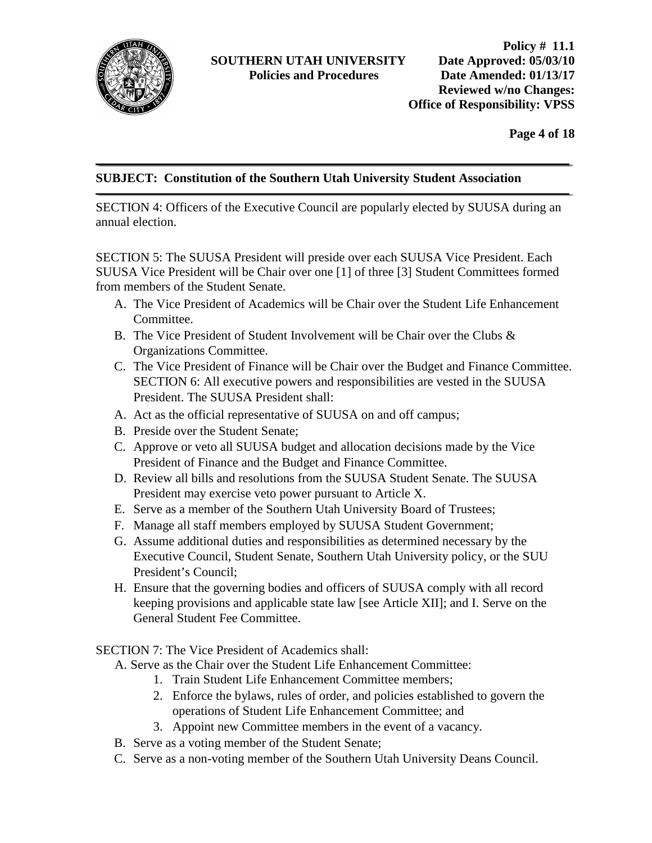

**Page 4 of 18**

# **SUBJECT: Constitution of the Southern Utah University Student Association**

SECTION 4: Officers of the Executive Council are popularly elected by SUUSA during an annual election.

SECTION 5: The SUUSA President will preside over each SUUSA Vice President. Each SUUSA Vice President will be Chair over one [1] of three [3] Student Committees formed from members of the Student Senate.

- A. The Vice President of Academics will be Chair over the Student Life Enhancement Committee.
- B. The Vice President of Student Involvement will be Chair over the Clubs & Organizations Committee.
- C. The Vice President of Finance will be Chair over the Budget and Finance Committee. SECTION 6: All executive powers and responsibilities are vested in the SUUSA President. The SUUSA President shall:
- A. Act as the official representative of SUUSA on and off campus;
- B. Preside over the Student Senate;
- C. Approve or veto all SUUSA budget and allocation decisions made by the Vice President of Finance and the Budget and Finance Committee.
- D. Review all bills and resolutions from the SUUSA Student Senate. The SUUSA President may exercise veto power pursuant to Article X.
- E. Serve as a member of the Southern Utah University Board of Trustees;
- F. Manage all staff members employed by SUUSA Student Government;
- G. Assume additional duties and responsibilities as determined necessary by the Executive Council, Student Senate, Southern Utah University policy, or the SUU President's Council;
- H. Ensure that the governing bodies and officers of SUUSA comply with all record keeping provisions and applicable state law [see Article XII]; and I. Serve on the General Student Fee Committee.

SECTION 7: The Vice President of Academics shall:

- A. Serve as the Chair over the Student Life Enhancement Committee:
	- 1. Train Student Life Enhancement Committee members;
	- 2. Enforce the bylaws, rules of order, and policies established to govern the operations of Student Life Enhancement Committee; and
	- 3. Appoint new Committee members in the event of a vacancy.
- B. Serve as a voting member of the Student Senate;
- C. Serve as a non-voting member of the Southern Utah University Deans Council.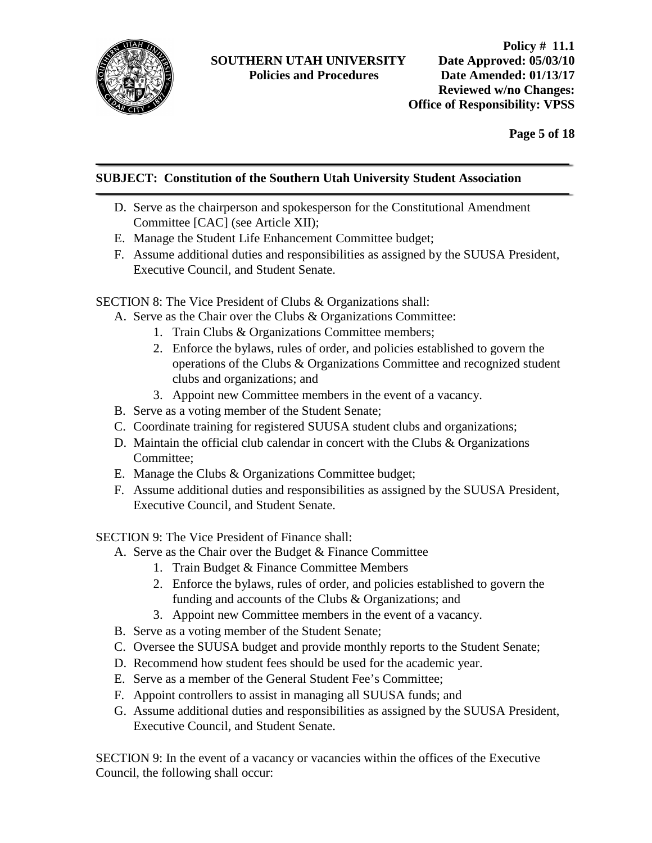

**Page 5 of 18**

# **SUBJECT: Constitution of the Southern Utah University Student Association**

- D. Serve as the chairperson and spokesperson for the Constitutional Amendment Committee [CAC] (see Article XII);
- E. Manage the Student Life Enhancement Committee budget;
- F. Assume additional duties and responsibilities as assigned by the SUUSA President, Executive Council, and Student Senate.

SECTION 8: The Vice President of Clubs & Organizations shall:

- A. Serve as the Chair over the Clubs & Organizations Committee:
	- 1. Train Clubs & Organizations Committee members;
	- 2. Enforce the bylaws, rules of order, and policies established to govern the operations of the Clubs & Organizations Committee and recognized student clubs and organizations; and
	- 3. Appoint new Committee members in the event of a vacancy.
- B. Serve as a voting member of the Student Senate;
- C. Coordinate training for registered SUUSA student clubs and organizations;
- D. Maintain the official club calendar in concert with the Clubs  $\&$  Organizations Committee;
- E. Manage the Clubs & Organizations Committee budget;
- F. Assume additional duties and responsibilities as assigned by the SUUSA President, Executive Council, and Student Senate.

SECTION 9: The Vice President of Finance shall:

- A. Serve as the Chair over the Budget & Finance Committee
	- 1. Train Budget & Finance Committee Members
	- 2. Enforce the bylaws, rules of order, and policies established to govern the funding and accounts of the Clubs & Organizations; and
	- 3. Appoint new Committee members in the event of a vacancy.
- B. Serve as a voting member of the Student Senate;
- C. Oversee the SUUSA budget and provide monthly reports to the Student Senate;
- D. Recommend how student fees should be used for the academic year.
- E. Serve as a member of the General Student Fee's Committee;
- F. Appoint controllers to assist in managing all SUUSA funds; and
- G. Assume additional duties and responsibilities as assigned by the SUUSA President, Executive Council, and Student Senate.

SECTION 9: In the event of a vacancy or vacancies within the offices of the Executive Council, the following shall occur: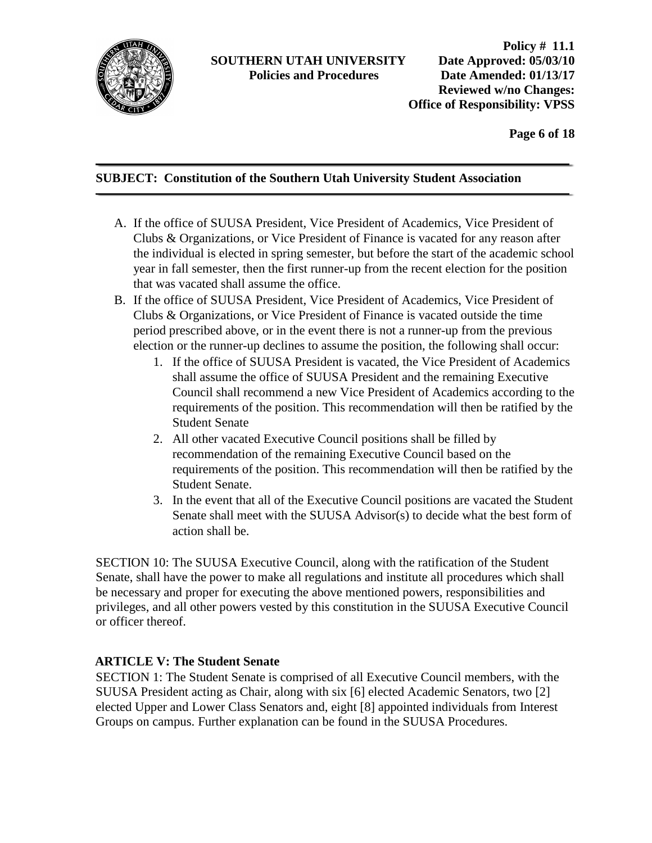

**Policy # 11.1 Policies and Procedures Date Amended: 01/13/17 Reviewed w/no Changes: Office of Responsibility: VPSS** 

**Page 6 of 18**

# **SUBJECT: Constitution of the Southern Utah University Student Association**

- A. If the office of SUUSA President, Vice President of Academics, Vice President of Clubs & Organizations, or Vice President of Finance is vacated for any reason after the individual is elected in spring semester, but before the start of the academic school year in fall semester, then the first runner-up from the recent election for the position that was vacated shall assume the office.
- B. If the office of SUUSA President, Vice President of Academics, Vice President of Clubs & Organizations, or Vice President of Finance is vacated outside the time period prescribed above, or in the event there is not a runner-up from the previous election or the runner-up declines to assume the position, the following shall occur:
	- 1. If the office of SUUSA President is vacated, the Vice President of Academics shall assume the office of SUUSA President and the remaining Executive Council shall recommend a new Vice President of Academics according to the requirements of the position. This recommendation will then be ratified by the Student Senate
	- 2. All other vacated Executive Council positions shall be filled by recommendation of the remaining Executive Council based on the requirements of the position. This recommendation will then be ratified by the Student Senate.
	- 3. In the event that all of the Executive Council positions are vacated the Student Senate shall meet with the SUUSA Advisor(s) to decide what the best form of action shall be.

SECTION 10: The SUUSA Executive Council, along with the ratification of the Student Senate, shall have the power to make all regulations and institute all procedures which shall be necessary and proper for executing the above mentioned powers, responsibilities and privileges, and all other powers vested by this constitution in the SUUSA Executive Council or officer thereof.

#### **ARTICLE V: The Student Senate**

SECTION 1: The Student Senate is comprised of all Executive Council members, with the SUUSA President acting as Chair, along with six [6] elected Academic Senators, two [2] elected Upper and Lower Class Senators and, eight [8] appointed individuals from Interest Groups on campus. Further explanation can be found in the SUUSA Procedures.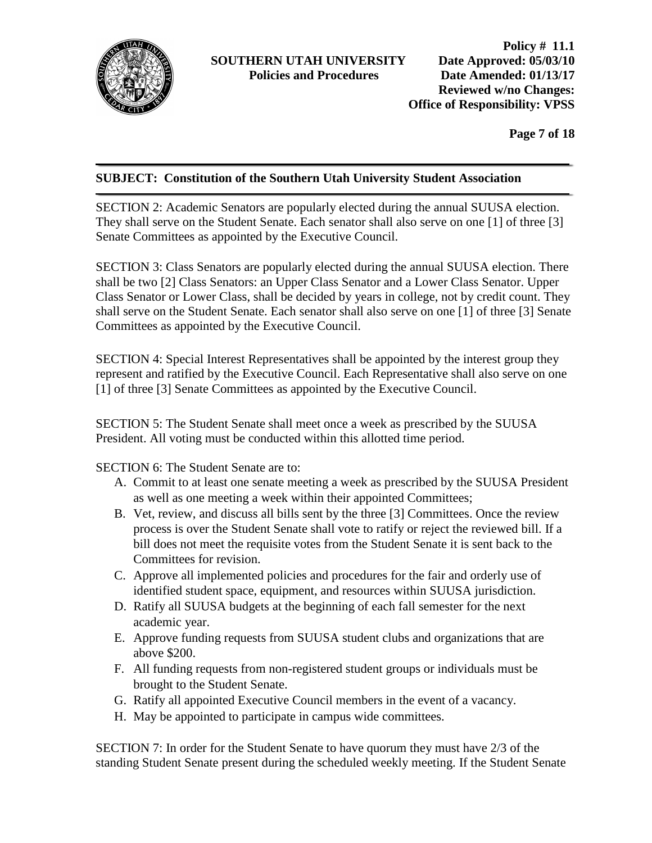

**Page 7 of 18**

# **SUBJECT: Constitution of the Southern Utah University Student Association**

SECTION 2: Academic Senators are popularly elected during the annual SUUSA election. They shall serve on the Student Senate. Each senator shall also serve on one [1] of three [3] Senate Committees as appointed by the Executive Council.

SECTION 3: Class Senators are popularly elected during the annual SUUSA election. There shall be two [2] Class Senators: an Upper Class Senator and a Lower Class Senator. Upper Class Senator or Lower Class, shall be decided by years in college, not by credit count. They shall serve on the Student Senate. Each senator shall also serve on one [1] of three [3] Senate Committees as appointed by the Executive Council.

SECTION 4: Special Interest Representatives shall be appointed by the interest group they represent and ratified by the Executive Council. Each Representative shall also serve on one [1] of three [3] Senate Committees as appointed by the Executive Council.

SECTION 5: The Student Senate shall meet once a week as prescribed by the SUUSA President. All voting must be conducted within this allotted time period.

SECTION 6: The Student Senate are to:

- A. Commit to at least one senate meeting a week as prescribed by the SUUSA President as well as one meeting a week within their appointed Committees;
- B. Vet, review, and discuss all bills sent by the three [3] Committees. Once the review process is over the Student Senate shall vote to ratify or reject the reviewed bill. If a bill does not meet the requisite votes from the Student Senate it is sent back to the Committees for revision.
- C. Approve all implemented policies and procedures for the fair and orderly use of identified student space, equipment, and resources within SUUSA jurisdiction.
- D. Ratify all SUUSA budgets at the beginning of each fall semester for the next academic year.
- E. Approve funding requests from SUUSA student clubs and organizations that are above \$200.
- F. All funding requests from non-registered student groups or individuals must be brought to the Student Senate.
- G. Ratify all appointed Executive Council members in the event of a vacancy.
- H. May be appointed to participate in campus wide committees.

SECTION 7: In order for the Student Senate to have quorum they must have 2/3 of the standing Student Senate present during the scheduled weekly meeting. If the Student Senate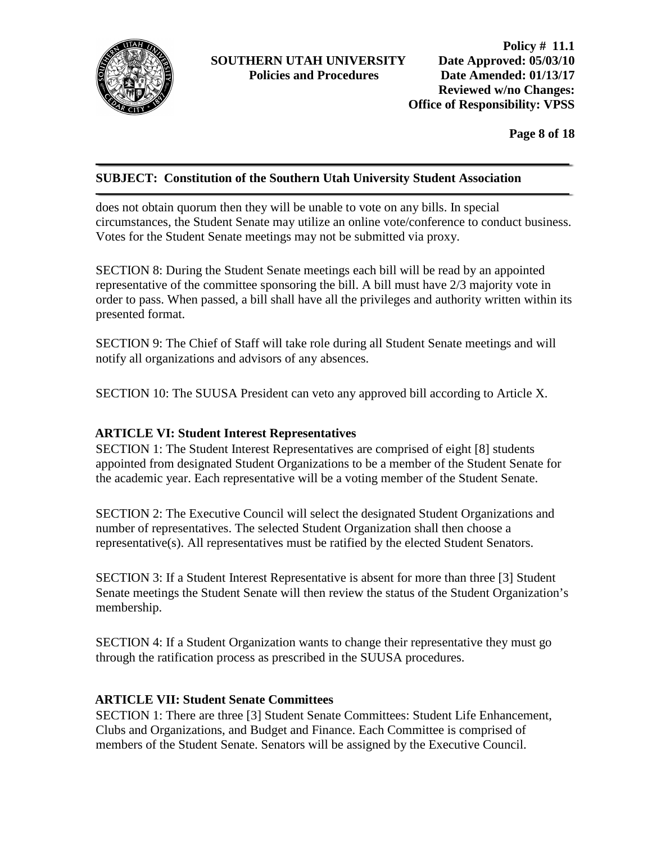

**Page 8 of 18**

#### **SUBJECT: Constitution of the Southern Utah University Student Association**

does not obtain quorum then they will be unable to vote on any bills. In special circumstances, the Student Senate may utilize an online vote/conference to conduct business. Votes for the Student Senate meetings may not be submitted via proxy.

SECTION 8: During the Student Senate meetings each bill will be read by an appointed representative of the committee sponsoring the bill. A bill must have 2/3 majority vote in order to pass. When passed, a bill shall have all the privileges and authority written within its presented format.

SECTION 9: The Chief of Staff will take role during all Student Senate meetings and will notify all organizations and advisors of any absences.

SECTION 10: The SUUSA President can veto any approved bill according to Article X.

#### **ARTICLE VI: Student Interest Representatives**

SECTION 1: The Student Interest Representatives are comprised of eight [8] students appointed from designated Student Organizations to be a member of the Student Senate for the academic year. Each representative will be a voting member of the Student Senate.

SECTION 2: The Executive Council will select the designated Student Organizations and number of representatives. The selected Student Organization shall then choose a representative(s). All representatives must be ratified by the elected Student Senators.

SECTION 3: If a Student Interest Representative is absent for more than three [3] Student Senate meetings the Student Senate will then review the status of the Student Organization's membership.

SECTION 4: If a Student Organization wants to change their representative they must go through the ratification process as prescribed in the SUUSA procedures.

#### **ARTICLE VII: Student Senate Committees**

SECTION 1: There are three [3] Student Senate Committees: Student Life Enhancement, Clubs and Organizations, and Budget and Finance. Each Committee is comprised of members of the Student Senate. Senators will be assigned by the Executive Council.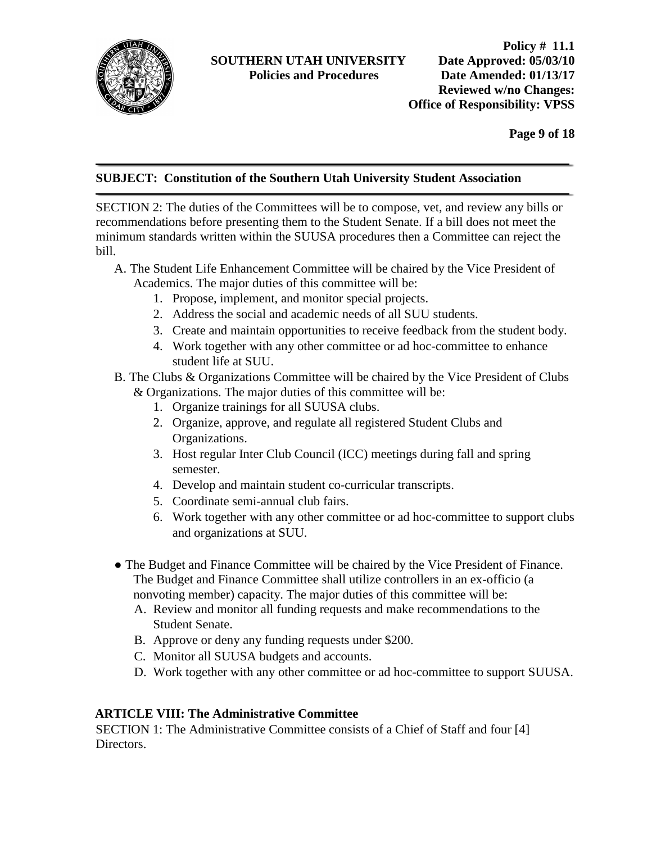

**Page 9 of 18**

# **SUBJECT: Constitution of the Southern Utah University Student Association**

SECTION 2: The duties of the Committees will be to compose, vet, and review any bills or recommendations before presenting them to the Student Senate. If a bill does not meet the minimum standards written within the SUUSA procedures then a Committee can reject the bill.

- A. The Student Life Enhancement Committee will be chaired by the Vice President of Academics. The major duties of this committee will be:
	- 1. Propose, implement, and monitor special projects.
	- 2. Address the social and academic needs of all SUU students.
	- 3. Create and maintain opportunities to receive feedback from the student body.
	- 4. Work together with any other committee or ad hoc-committee to enhance student life at SUU.
- B. The Clubs & Organizations Committee will be chaired by the Vice President of Clubs & Organizations. The major duties of this committee will be:
	- 1. Organize trainings for all SUUSA clubs.
	- 2. Organize, approve, and regulate all registered Student Clubs and Organizations.
	- 3. Host regular Inter Club Council (ICC) meetings during fall and spring semester.
	- 4. Develop and maintain student co-curricular transcripts.
	- 5. Coordinate semi-annual club fairs.
	- 6. Work together with any other committee or ad hoc-committee to support clubs and organizations at SUU.
- The Budget and Finance Committee will be chaired by the Vice President of Finance. The Budget and Finance Committee shall utilize controllers in an ex-officio (a nonvoting member) capacity. The major duties of this committee will be:
	- A. Review and monitor all funding requests and make recommendations to the Student Senate.
	- B. Approve or deny any funding requests under \$200.
	- C. Monitor all SUUSA budgets and accounts.
	- D. Work together with any other committee or ad hoc-committee to support SUUSA.

# **ARTICLE VIII: The Administrative Committee**

SECTION 1: The Administrative Committee consists of a Chief of Staff and four [4] Directors.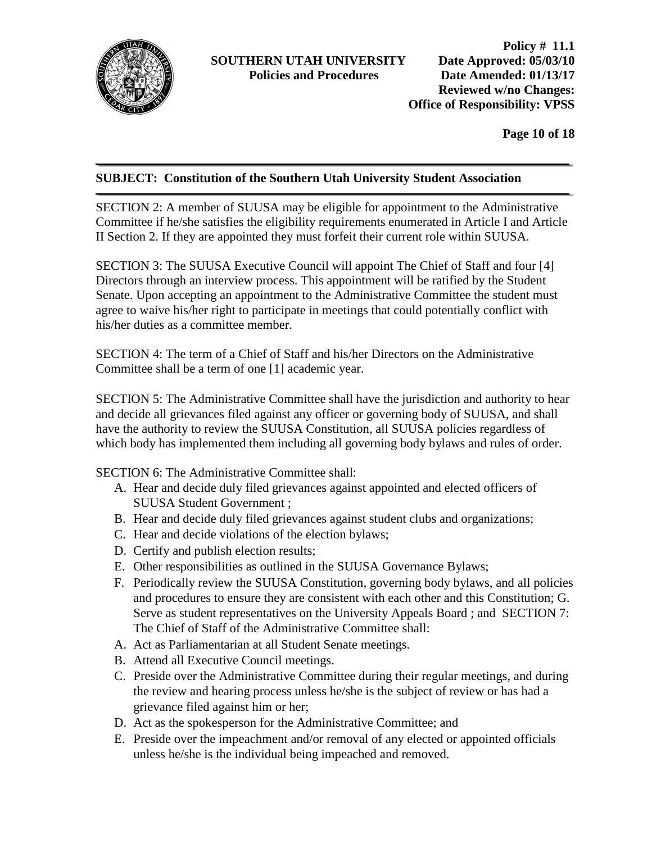

**Page 10 of 18**

#### **SUBJECT: Constitution of the Southern Utah University Student Association**

SECTION 2: A member of SUUSA may be eligible for appointment to the Administrative Committee if he/she satisfies the eligibility requirements enumerated in Article I and Article II Section 2. If they are appointed they must forfeit their current role within SUUSA.

SECTION 3: The SUUSA Executive Council will appoint The Chief of Staff and four [4] Directors through an interview process. This appointment will be ratified by the Student Senate. Upon accepting an appointment to the Administrative Committee the student must agree to waive his/her right to participate in meetings that could potentially conflict with his/her duties as a committee member.

SECTION 4: The term of a Chief of Staff and his/her Directors on the Administrative Committee shall be a term of one [1] academic year.

SECTION 5: The Administrative Committee shall have the jurisdiction and authority to hear and decide all grievances filed against any officer or governing body of SUUSA, and shall have the authority to review the SUUSA Constitution, all SUUSA policies regardless of which body has implemented them including all governing body bylaws and rules of order.

SECTION 6: The Administrative Committee shall:

- A. Hear and decide duly filed grievances against appointed and elected officers of SUUSA Student Government ;
- B. Hear and decide duly filed grievances against student clubs and organizations;
- C. Hear and decide violations of the election bylaws;
- D. Certify and publish election results;
- E. Other responsibilities as outlined in the SUUSA Governance Bylaws;
- F. Periodically review the SUUSA Constitution, governing body bylaws, and all policies and procedures to ensure they are consistent with each other and this Constitution; G. Serve as student representatives on the University Appeals Board ; and SECTION 7: The Chief of Staff of the Administrative Committee shall:
- A. Act as Parliamentarian at all Student Senate meetings.
- B. Attend all Executive Council meetings.
- C. Preside over the Administrative Committee during their regular meetings, and during the review and hearing process unless he/she is the subject of review or has had a grievance filed against him or her;
- D. Act as the spokesperson for the Administrative Committee; and
- E. Preside over the impeachment and/or removal of any elected or appointed officials unless he/she is the individual being impeached and removed.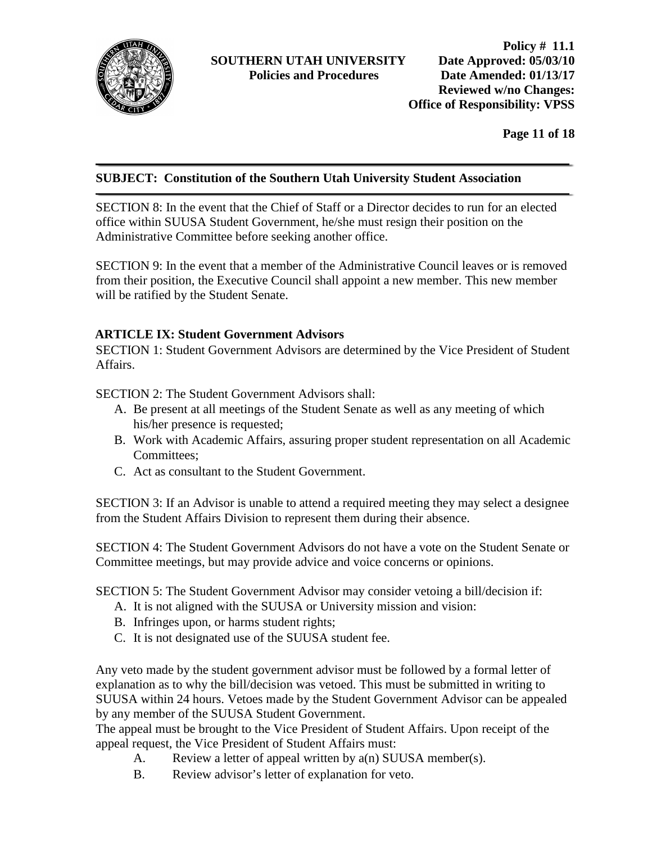

**Page 11 of 18**

#### **SUBJECT: Constitution of the Southern Utah University Student Association**

SECTION 8: In the event that the Chief of Staff or a Director decides to run for an elected office within SUUSA Student Government, he/she must resign their position on the Administrative Committee before seeking another office.

SECTION 9: In the event that a member of the Administrative Council leaves or is removed from their position, the Executive Council shall appoint a new member. This new member will be ratified by the Student Senate.

# **ARTICLE IX: Student Government Advisors**

SECTION 1: Student Government Advisors are determined by the Vice President of Student Affairs.

SECTION 2: The Student Government Advisors shall:

- A. Be present at all meetings of the Student Senate as well as any meeting of which his/her presence is requested;
- B. Work with Academic Affairs, assuring proper student representation on all Academic Committees;
- C. Act as consultant to the Student Government.

SECTION 3: If an Advisor is unable to attend a required meeting they may select a designee from the Student Affairs Division to represent them during their absence.

SECTION 4: The Student Government Advisors do not have a vote on the Student Senate or Committee meetings, but may provide advice and voice concerns or opinions.

SECTION 5: The Student Government Advisor may consider vetoing a bill/decision if:

- A. It is not aligned with the SUUSA or University mission and vision:
- B. Infringes upon, or harms student rights;
- C. It is not designated use of the SUUSA student fee.

Any veto made by the student government advisor must be followed by a formal letter of explanation as to why the bill/decision was vetoed. This must be submitted in writing to SUUSA within 24 hours. Vetoes made by the Student Government Advisor can be appealed by any member of the SUUSA Student Government.

The appeal must be brought to the Vice President of Student Affairs. Upon receipt of the appeal request, the Vice President of Student Affairs must:

- A. Review a letter of appeal written by  $a(n)$  SUUSA member(s).
- B. Review advisor's letter of explanation for veto.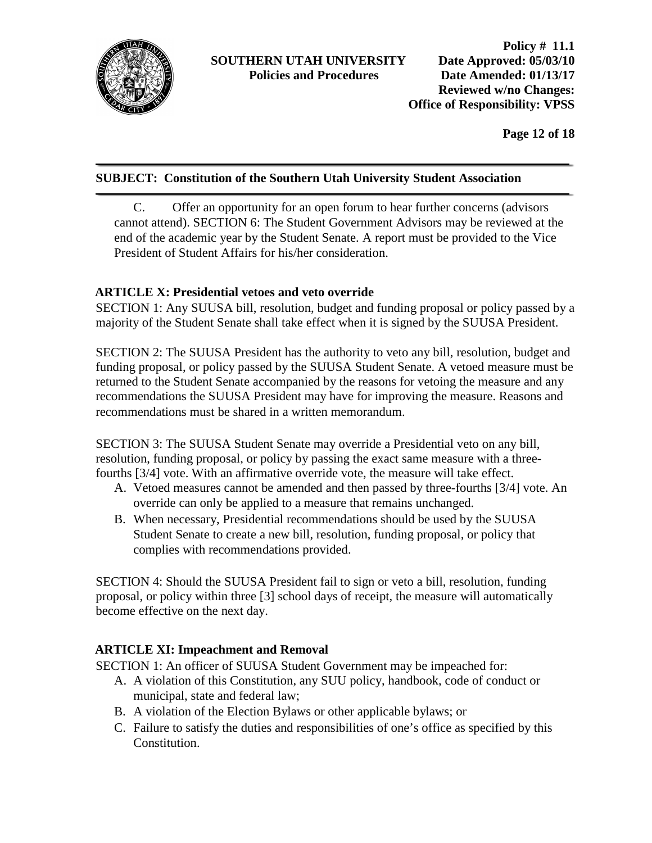

**Page 12 of 18**

# **SUBJECT: Constitution of the Southern Utah University Student Association**

C. Offer an opportunity for an open forum to hear further concerns (advisors cannot attend). SECTION 6: The Student Government Advisors may be reviewed at the end of the academic year by the Student Senate. A report must be provided to the Vice President of Student Affairs for his/her consideration.

# **ARTICLE X: Presidential vetoes and veto override**

SECTION 1: Any SUUSA bill, resolution, budget and funding proposal or policy passed by a majority of the Student Senate shall take effect when it is signed by the SUUSA President.

SECTION 2: The SUUSA President has the authority to veto any bill, resolution, budget and funding proposal, or policy passed by the SUUSA Student Senate. A vetoed measure must be returned to the Student Senate accompanied by the reasons for vetoing the measure and any recommendations the SUUSA President may have for improving the measure. Reasons and recommendations must be shared in a written memorandum.

SECTION 3: The SUUSA Student Senate may override a Presidential veto on any bill, resolution, funding proposal, or policy by passing the exact same measure with a threefourths [3/4] vote. With an affirmative override vote, the measure will take effect.

- A. Vetoed measures cannot be amended and then passed by three-fourths [3/4] vote. An override can only be applied to a measure that remains unchanged.
- B. When necessary, Presidential recommendations should be used by the SUUSA Student Senate to create a new bill, resolution, funding proposal, or policy that complies with recommendations provided.

SECTION 4: Should the SUUSA President fail to sign or veto a bill, resolution, funding proposal, or policy within three [3] school days of receipt, the measure will automatically become effective on the next day.

# **ARTICLE XI: Impeachment and Removal**

SECTION 1: An officer of SUUSA Student Government may be impeached for:

- A. A violation of this Constitution, any SUU policy, handbook, code of conduct or municipal, state and federal law;
- B. A violation of the Election Bylaws or other applicable bylaws; or
- C. Failure to satisfy the duties and responsibilities of one's office as specified by this Constitution.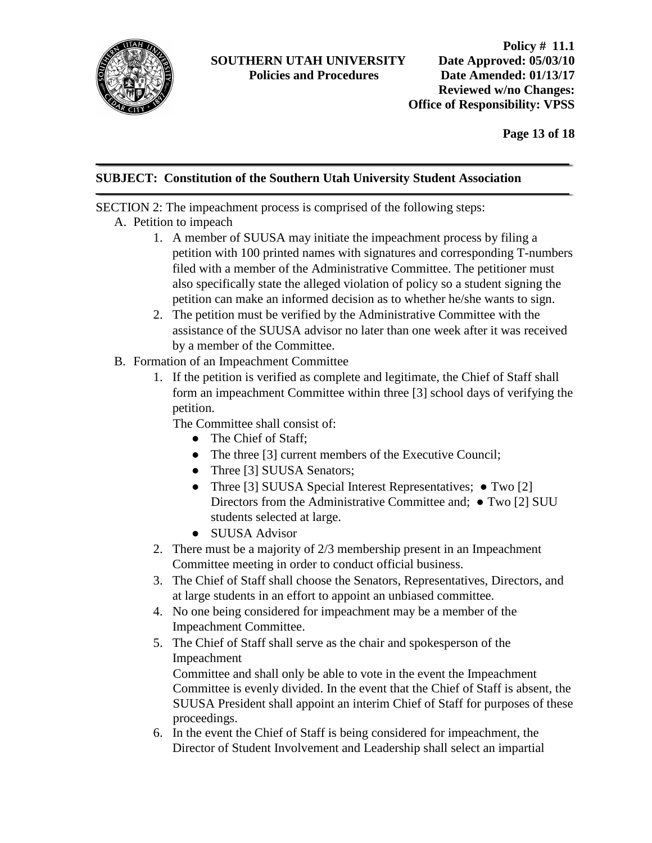

**Page 13 of 18**

#### **SUBJECT: Constitution of the Southern Utah University Student Association**

SECTION 2: The impeachment process is comprised of the following steps:

- A. Petition to impeach
	- 1. A member of SUUSA may initiate the impeachment process by filing a petition with 100 printed names with signatures and corresponding T-numbers filed with a member of the Administrative Committee. The petitioner must also specifically state the alleged violation of policy so a student signing the petition can make an informed decision as to whether he/she wants to sign.
	- 2. The petition must be verified by the Administrative Committee with the assistance of the SUUSA advisor no later than one week after it was received by a member of the Committee.
- B. Formation of an Impeachment Committee
	- 1. If the petition is verified as complete and legitimate, the Chief of Staff shall form an impeachment Committee within three [3] school days of verifying the petition.

The Committee shall consist of:

- The Chief of Staff;
- The three [3] current members of the Executive Council;
- Three [3] SUUSA Senators;
- Three [3] SUUSA Special Interest Representatives; Two [2] Directors from the Administrative Committee and; ● Two [2] SUU students selected at large.
- SUUSA Advisor
- 2. There must be a majority of 2/3 membership present in an Impeachment Committee meeting in order to conduct official business.
- 3. The Chief of Staff shall choose the Senators, Representatives, Directors, and at large students in an effort to appoint an unbiased committee.
- 4. No one being considered for impeachment may be a member of the Impeachment Committee.
- 5. The Chief of Staff shall serve as the chair and spokesperson of the Impeachment

Committee and shall only be able to vote in the event the Impeachment Committee is evenly divided. In the event that the Chief of Staff is absent, the SUUSA President shall appoint an interim Chief of Staff for purposes of these proceedings.

6. In the event the Chief of Staff is being considered for impeachment, the Director of Student Involvement and Leadership shall select an impartial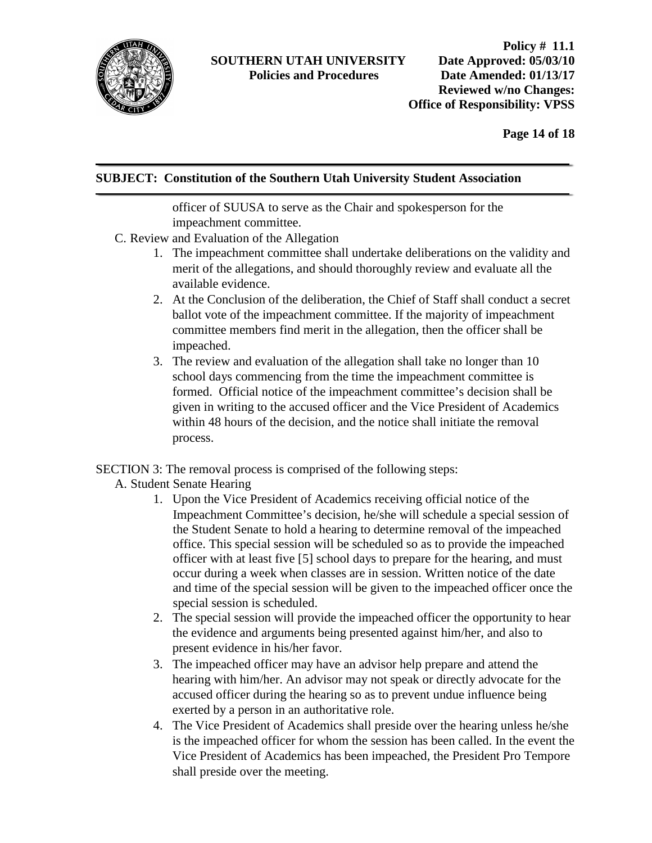

**Page 14 of 18**

# **SUBJECT: Constitution of the Southern Utah University Student Association**

officer of SUUSA to serve as the Chair and spokesperson for the impeachment committee.

- C. Review and Evaluation of the Allegation
	- 1. The impeachment committee shall undertake deliberations on the validity and merit of the allegations, and should thoroughly review and evaluate all the available evidence.
	- 2. At the Conclusion of the deliberation, the Chief of Staff shall conduct a secret ballot vote of the impeachment committee. If the majority of impeachment committee members find merit in the allegation, then the officer shall be impeached.
	- 3. The review and evaluation of the allegation shall take no longer than 10 school days commencing from the time the impeachment committee is formed. Official notice of the impeachment committee's decision shall be given in writing to the accused officer and the Vice President of Academics within 48 hours of the decision, and the notice shall initiate the removal process.

#### SECTION 3: The removal process is comprised of the following steps:

#### A. Student Senate Hearing

- 1. Upon the Vice President of Academics receiving official notice of the Impeachment Committee's decision, he/she will schedule a special session of the Student Senate to hold a hearing to determine removal of the impeached office. This special session will be scheduled so as to provide the impeached officer with at least five [5] school days to prepare for the hearing, and must occur during a week when classes are in session. Written notice of the date and time of the special session will be given to the impeached officer once the special session is scheduled.
- 2. The special session will provide the impeached officer the opportunity to hear the evidence and arguments being presented against him/her, and also to present evidence in his/her favor.
- 3. The impeached officer may have an advisor help prepare and attend the hearing with him/her. An advisor may not speak or directly advocate for the accused officer during the hearing so as to prevent undue influence being exerted by a person in an authoritative role.
- 4. The Vice President of Academics shall preside over the hearing unless he/she is the impeached officer for whom the session has been called. In the event the Vice President of Academics has been impeached, the President Pro Tempore shall preside over the meeting.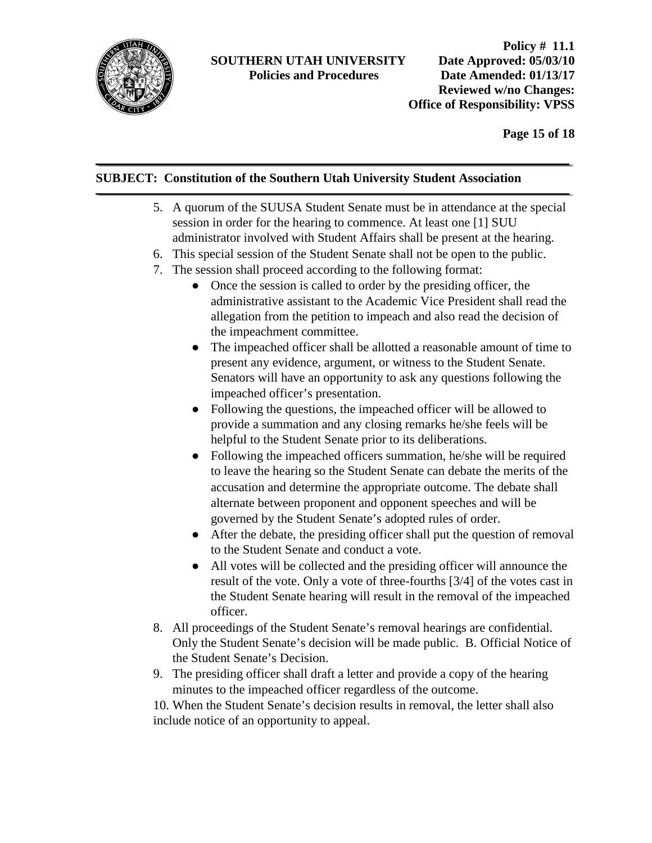

**Page 15 of 18**

# **SUBJECT: Constitution of the Southern Utah University Student Association**

- 5. A quorum of the SUUSA Student Senate must be in attendance at the special session in order for the hearing to commence. At least one [1] SUU administrator involved with Student Affairs shall be present at the hearing.
- 6. This special session of the Student Senate shall not be open to the public.
- 7. The session shall proceed according to the following format:
	- Once the session is called to order by the presiding officer, the administrative assistant to the Academic Vice President shall read the allegation from the petition to impeach and also read the decision of the impeachment committee.
	- The impeached officer shall be allotted a reasonable amount of time to present any evidence, argument, or witness to the Student Senate. Senators will have an opportunity to ask any questions following the impeached officer's presentation.
	- Following the questions, the impeached officer will be allowed to provide a summation and any closing remarks he/she feels will be helpful to the Student Senate prior to its deliberations.
	- Following the impeached officers summation, he/she will be required to leave the hearing so the Student Senate can debate the merits of the accusation and determine the appropriate outcome. The debate shall alternate between proponent and opponent speeches and will be governed by the Student Senate's adopted rules of order.
	- After the debate, the presiding officer shall put the question of removal to the Student Senate and conduct a vote.
	- All votes will be collected and the presiding officer will announce the result of the vote. Only a vote of three-fourths [3/4] of the votes cast in the Student Senate hearing will result in the removal of the impeached officer.
- 8. All proceedings of the Student Senate's removal hearings are confidential. Only the Student Senate's decision will be made public. B. Official Notice of the Student Senate's Decision.
- 9. The presiding officer shall draft a letter and provide a copy of the hearing minutes to the impeached officer regardless of the outcome.

10. When the Student Senate's decision results in removal, the letter shall also include notice of an opportunity to appeal.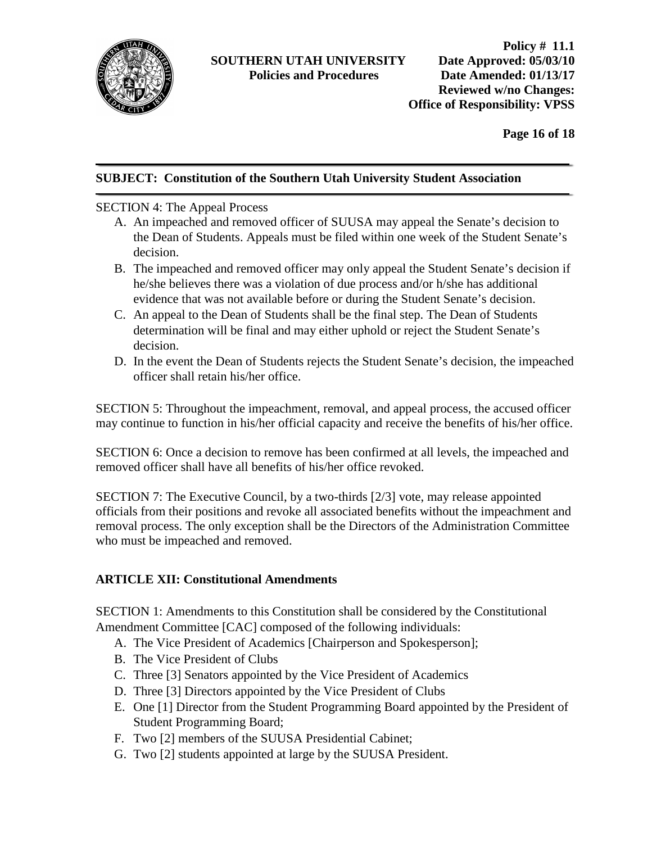

**Page 16 of 18**

#### **SUBJECT: Constitution of the Southern Utah University Student Association**

#### SECTION 4: The Appeal Process

- A. An impeached and removed officer of SUUSA may appeal the Senate's decision to the Dean of Students. Appeals must be filed within one week of the Student Senate's decision.
- B. The impeached and removed officer may only appeal the Student Senate's decision if he/she believes there was a violation of due process and/or h/she has additional evidence that was not available before or during the Student Senate's decision.
- C. An appeal to the Dean of Students shall be the final step. The Dean of Students determination will be final and may either uphold or reject the Student Senate's decision.
- D. In the event the Dean of Students rejects the Student Senate's decision, the impeached officer shall retain his/her office.

SECTION 5: Throughout the impeachment, removal, and appeal process, the accused officer may continue to function in his/her official capacity and receive the benefits of his/her office.

SECTION 6: Once a decision to remove has been confirmed at all levels, the impeached and removed officer shall have all benefits of his/her office revoked.

SECTION 7: The Executive Council, by a two-thirds [2/3] vote, may release appointed officials from their positions and revoke all associated benefits without the impeachment and removal process. The only exception shall be the Directors of the Administration Committee who must be impeached and removed.

#### **ARTICLE XII: Constitutional Amendments**

SECTION 1: Amendments to this Constitution shall be considered by the Constitutional Amendment Committee [CAC] composed of the following individuals:

- A. The Vice President of Academics [Chairperson and Spokesperson];
- B. The Vice President of Clubs
- C. Three [3] Senators appointed by the Vice President of Academics
- D. Three [3] Directors appointed by the Vice President of Clubs
- E. One [1] Director from the Student Programming Board appointed by the President of Student Programming Board;
- F. Two [2] members of the SUUSA Presidential Cabinet;
- G. Two [2] students appointed at large by the SUUSA President.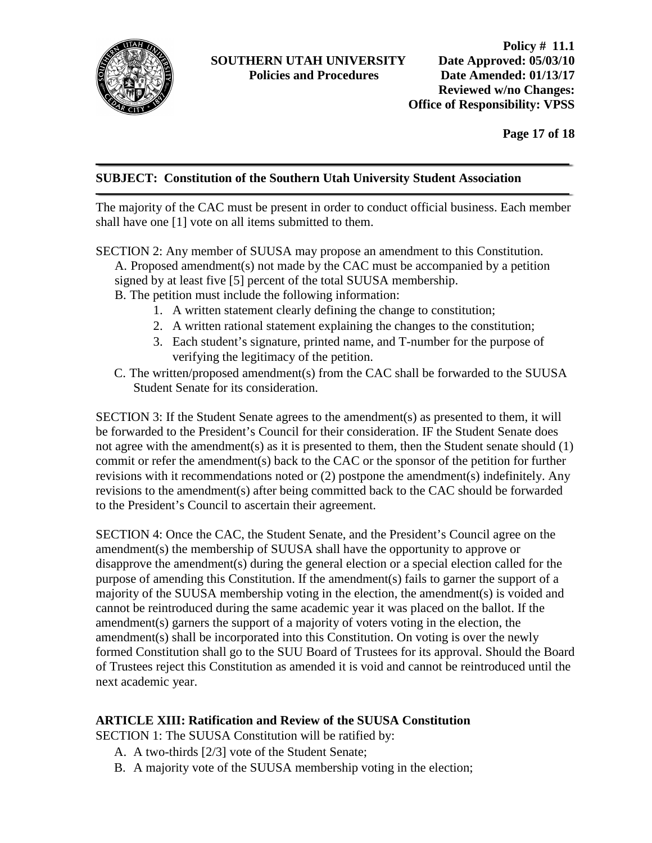

**Page 17 of 18**

#### **SUBJECT: Constitution of the Southern Utah University Student Association**

The majority of the CAC must be present in order to conduct official business. Each member shall have one [1] vote on all items submitted to them.

- SECTION 2: Any member of SUUSA may propose an amendment to this Constitution. A. Proposed amendment(s) not made by the CAC must be accompanied by a petition signed by at least five [5] percent of the total SUUSA membership. B. The petition must include the following information:
	- 1. A written statement clearly defining the change to constitution;
	- 2. A written rational statement explaining the changes to the constitution;
	- 3. Each student's signature, printed name, and T-number for the purpose of verifying the legitimacy of the petition.
	- C. The written/proposed amendment(s) from the CAC shall be forwarded to the SUUSA Student Senate for its consideration.

SECTION 3: If the Student Senate agrees to the amendment(s) as presented to them, it will be forwarded to the President's Council for their consideration. IF the Student Senate does not agree with the amendment(s) as it is presented to them, then the Student senate should (1) commit or refer the amendment(s) back to the CAC or the sponsor of the petition for further revisions with it recommendations noted or (2) postpone the amendment(s) indefinitely. Any revisions to the amendment(s) after being committed back to the CAC should be forwarded to the President's Council to ascertain their agreement.

SECTION 4: Once the CAC, the Student Senate, and the President's Council agree on the amendment(s) the membership of SUUSA shall have the opportunity to approve or disapprove the amendment(s) during the general election or a special election called for the purpose of amending this Constitution. If the amendment(s) fails to garner the support of a majority of the SUUSA membership voting in the election, the amendment(s) is voided and cannot be reintroduced during the same academic year it was placed on the ballot. If the amendment(s) garners the support of a majority of voters voting in the election, the amendment(s) shall be incorporated into this Constitution. On voting is over the newly formed Constitution shall go to the SUU Board of Trustees for its approval. Should the Board of Trustees reject this Constitution as amended it is void and cannot be reintroduced until the next academic year.

#### **ARTICLE XIII: Ratification and Review of the SUUSA Constitution**

SECTION 1: The SUUSA Constitution will be ratified by:

- A. A two-thirds [2/3] vote of the Student Senate;
- B. A majority vote of the SUUSA membership voting in the election;